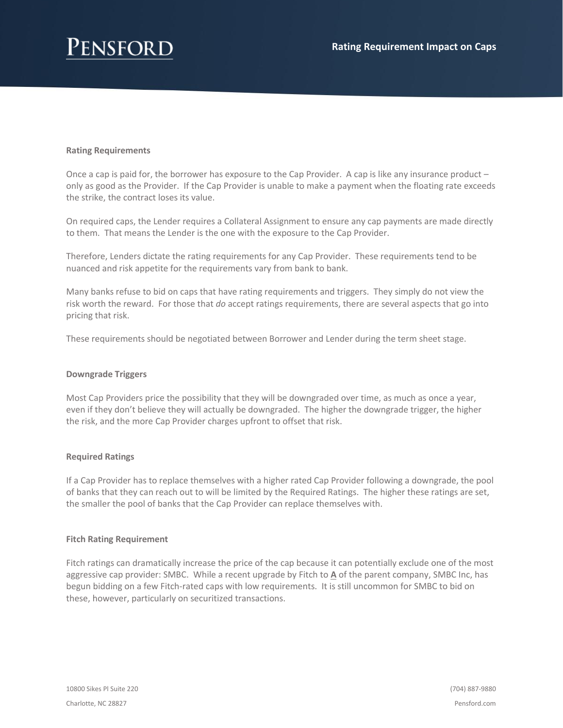## **Rating Requirements**

Once a cap is paid for, the borrower has exposure to the Cap Provider. A cap is like any insurance product – only as good as the Provider. If the Cap Provider is unable to make a payment when the floating rate exceeds the strike, the contract loses its value.

On required caps, the Lender requires a Collateral Assignment to ensure any cap payments are made directly to them. That means the Lender is the one with the exposure to the Cap Provider.

Therefore, Lenders dictate the rating requirements for any Cap Provider. These requirements tend to be nuanced and risk appetite for the requirements vary from bank to bank.

Many banks refuse to bid on caps that have rating requirements and triggers. They simply do not view the risk worth the reward. For those that *do* accept ratings requirements, there are several aspects that go into pricing that risk.

These requirements should be negotiated between Borrower and Lender during the term sheet stage.

### **Downgrade Triggers**

Most Cap Providers price the possibility that they will be downgraded over time, as much as once a year, even if they don't believe they will actually be downgraded. The higher the downgrade trigger, the higher the risk, and the more Cap Provider charges upfront to offset that risk.

### **Required Ratings**

If a Cap Provider has to replace themselves with a higher rated Cap Provider following a downgrade, the pool of banks that they can reach out to will be limited by the Required Ratings. The higher these ratings are set, the smaller the pool of banks that the Cap Provider can replace themselves with.

### **Fitch Rating Requirement**

Fitch ratings can dramatically increase the price of the cap because it can potentially exclude one of the most aggressive cap provider: SMBC. While a recent upgrade by Fitch to **A** of the parent company, SMBC Inc, has begun bidding on a few Fitch-rated caps with low requirements. It is still uncommon for SMBC to bid on these, however, particularly on securitized transactions.